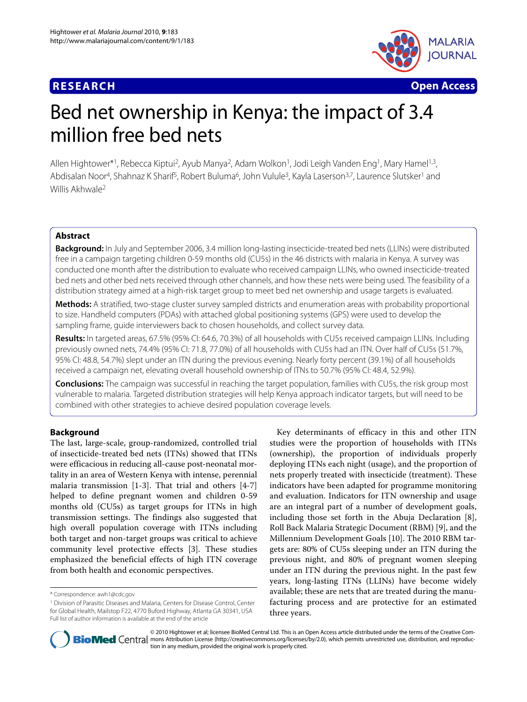# **RESEARCH Open Access**



# Bed net ownership in Kenya: the impact of 3.4 million free bed nets

Allen Hightower\*1, Rebecca Kiptui<sup>2</sup>, Ayub Manya<sup>2</sup>, Adam Wolkon<sup>1</sup>, Jodi Leigh Vanden Eng<sup>1</sup>, Mary Hamel<sup>1,3</sup>, Abdisalan Noor<sup>4</sup>, Shahnaz K Sharif<sup>5</sup>, Robert Buluma<sup>6</sup>, John Vulule<sup>3</sup>, Kayla Laserson<sup>3,7</sup>, Laurence Slutsker<sup>1</sup> and Willis Akhwale2

# **Abstract**

**Background:** In July and September 2006, 3.4 million long-lasting insecticide-treated bed nets (LLINs) were distributed free in a campaign targeting children 0-59 months old (CU5s) in the 46 districts with malaria in Kenya. A survey was conducted one month after the distribution to evaluate who received campaign LLINs, who owned insecticide-treated bed nets and other bed nets received through other channels, and how these nets were being used. The feasibility of a distribution strategy aimed at a high-risk target group to meet bed net ownership and usage targets is evaluated.

**Methods:** A stratified, two-stage cluster survey sampled districts and enumeration areas with probability proportional to size. Handheld computers (PDAs) with attached global positioning systems (GPS) were used to develop the sampling frame, guide interviewers back to chosen households, and collect survey data.

**Results:** In targeted areas, 67.5% (95% CI: 64.6, 70.3%) of all households with CU5s received campaign LLINs. Including previously owned nets, 74.4% (95% CI: 71.8, 77.0%) of all households with CU5s had an ITN. Over half of CU5s (51.7%, 95% CI: 48.8, 54.7%) slept under an ITN during the previous evening. Nearly forty percent (39.1%) of all households received a campaign net, elevating overall household ownership of ITNs to 50.7% (95% CI: 48.4, 52.9%).

**Conclusions:** The campaign was successful in reaching the target population, families with CU5s, the risk group most vulnerable to malaria. Targeted distribution strategies will help Kenya approach indicator targets, but will need to be combined with other strategies to achieve desired population coverage levels.

# **Background**

The last, large-scale, group-randomized, controlled trial of insecticide-treated bed nets (ITNs) showed that ITNs were efficacious in reducing all-cause post-neonatal mortality in an area of Western Kenya with intense, perennial malaria transmission [\[1](#page-9-0)-[3](#page-9-1)]. That trial and others [[4](#page-9-2)[-7](#page-9-3)] helped to define pregnant women and children 0-59 months old (CU5s) as target groups for ITNs in high transmission settings. The findings also suggested that high overall population coverage with ITNs including both target and non-target groups was critical to achieve community level protective effects [[3\]](#page-9-1). These studies emphasized the beneficial effects of high ITN coverage from both health and economic perspectives.

Key determinants of efficacy in this and other ITN studies were the proportion of households with ITNs (ownership), the proportion of individuals properly deploying ITNs each night (usage), and the proportion of nets properly treated with insecticide (treatment). These indicators have been adapted for programme monitoring and evaluation. Indicators for ITN ownership and usage are an integral part of a number of development goals, including those set forth in the Abuja Declaration [\[8](#page-9-4)], Roll Back Malaria Strategic Document (RBM) [[9\]](#page-9-5), and the Millennium Development Goals [\[10\]](#page-9-6). The 2010 RBM targets are: 80% of CU5s sleeping under an ITN during the previous night, and 80% of pregnant women sleeping under an ITN during the previous night. In the past few years, long-lasting ITNs (LLINs) have become widely available; these are nets that are treated during the manufacturing process and are protective for an estimated three years.



© 2010 Hightower et al; licensee BioMed Central Ltd. This is an Open Access article distributed under the terms of the Creative Com-**Bio Med** Central mons Attribution License (http://creativecommons.org/licenses/by/2.0), which permits unrestricted use, distribution, and reproduction in any medium, provided the original work is properly cited.

<sup>\*</sup> Correspondence: awh1@cdc.gov

<sup>1</sup> Division of Parasitic Diseases and Malaria, Centers for Disease Control, Center for Global Health, Mailstop F22, 4770 Buford Highway, Atlanta GA 30341, USA Full list of author information is available at the end of the article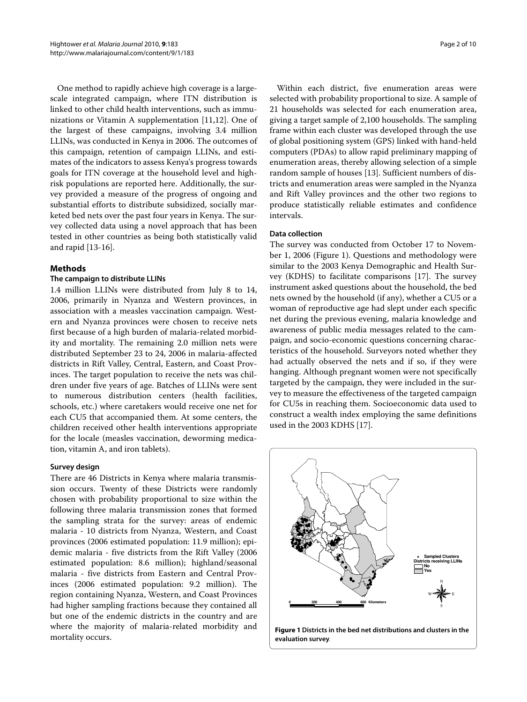One method to rapidly achieve high coverage is a largescale integrated campaign, where ITN distribution is linked to other child health interventions, such as immunizations or Vitamin A supplementation [[11,](#page-9-7)[12\]](#page-9-8). One of the largest of these campaigns, involving 3.4 million LLINs, was conducted in Kenya in 2006. The outcomes of this campaign, retention of campaign LLINs, and estimates of the indicators to assess Kenya's progress towards goals for ITN coverage at the household level and highrisk populations are reported here. Additionally, the survey provided a measure of the progress of ongoing and substantial efforts to distribute subsidized, socially marketed bed nets over the past four years in Kenya. The survey collected data using a novel approach that has been tested in other countries as being both statistically valid and rapid [[13](#page-9-9)[-16](#page-9-10)].

# **Methods**

#### **The campaign to distribute LLINs**

1.4 million LLINs were distributed from July 8 to 14, 2006, primarily in Nyanza and Western provinces, in association with a measles vaccination campaign. Western and Nyanza provinces were chosen to receive nets first because of a high burden of malaria-related morbidity and mortality. The remaining 2.0 million nets were distributed September 23 to 24, 2006 in malaria-affected districts in Rift Valley, Central, Eastern, and Coast Provinces. The target population to receive the nets was children under five years of age. Batches of LLINs were sent to numerous distribution centers (health facilities, schools, etc.) where caretakers would receive one net for each CU5 that accompanied them. At some centers, the children received other health interventions appropriate for the locale (measles vaccination, deworming medication, vitamin A, and iron tablets).

#### **Survey design**

There are 46 Districts in Kenya where malaria transmission occurs. Twenty of these Districts were randomly chosen with probability proportional to size within the following three malaria transmission zones that formed the sampling strata for the survey: areas of endemic malaria - 10 districts from Nyanza, Western, and Coast provinces (2006 estimated population: 11.9 million); epidemic malaria - five districts from the Rift Valley (2006 estimated population: 8.6 million); highland/seasonal malaria - five districts from Eastern and Central Provinces (2006 estimated population: 9.2 million). The region containing Nyanza, Western, and Coast Provinces had higher sampling fractions because they contained all but one of the endemic districts in the country and are where the majority of malaria-related morbidity and mortality occurs.

Within each district, five enumeration areas were selected with probability proportional to size. A sample of 21 households was selected for each enumeration area, giving a target sample of 2,100 households. The sampling frame within each cluster was developed through the use of global positioning system (GPS) linked with hand-held computers (PDAs) to allow rapid preliminary mapping of enumeration areas, thereby allowing selection of a simple random sample of houses [[13\]](#page-9-9). Sufficient numbers of districts and enumeration areas were sampled in the Nyanza and Rift Valley provinces and the other two regions to produce statistically reliable estimates and confidence intervals.

# **Data collection**

The survey was conducted from October 17 to November 1, 2006 (Figure [1\)](#page-1-0). Questions and methodology were similar to the 2003 Kenya Demographic and Health Survey (KDHS) to facilitate comparisons [[17](#page-9-11)]. The survey instrument asked questions about the household, the bed nets owned by the household (if any), whether a CU5 or a woman of reproductive age had slept under each specific net during the previous evening, malaria knowledge and awareness of public media messages related to the campaign, and socio-economic questions concerning characteristics of the household. Surveyors noted whether they had actually observed the nets and if so, if they were hanging. Although pregnant women were not specifically targeted by the campaign, they were included in the survey to measure the effectiveness of the targeted campaign for CU5s in reaching them. Socioeconomic data used to construct a wealth index employing the same definitions used in the 2003 KDHS [[17\]](#page-9-11).

<span id="page-1-0"></span>

**Figure 1 Districts in the bed net distributions and clusters in the evaluation survey**.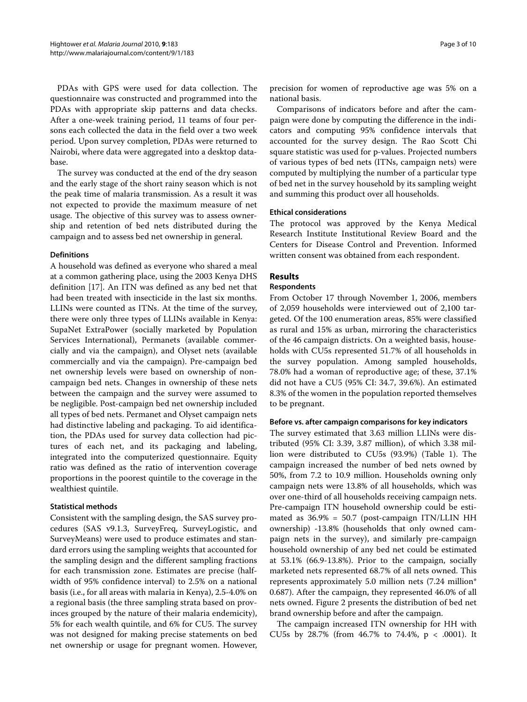PDAs with GPS were used for data collection. The questionnaire was constructed and programmed into the PDAs with appropriate skip patterns and data checks. After a one-week training period, 11 teams of four persons each collected the data in the field over a two week period. Upon survey completion, PDAs were returned to Nairobi, where data were aggregated into a desktop database.

The survey was conducted at the end of the dry season and the early stage of the short rainy season which is not the peak time of malaria transmission. As a result it was not expected to provide the maximum measure of net usage. The objective of this survey was to assess ownership and retention of bed nets distributed during the campaign and to assess bed net ownership in general.

#### **Definitions**

A household was defined as everyone who shared a meal at a common gathering place, using the 2003 Kenya DHS definition [\[17\]](#page-9-11). An ITN was defined as any bed net that had been treated with insecticide in the last six months. LLINs were counted as ITNs. At the time of the survey, there were only three types of LLINs available in Kenya: SupaNet ExtraPower (socially marketed by Population Services International), Permanets (available commercially and via the campaign), and Olyset nets (available commercially and via the campaign). Pre-campaign bed net ownership levels were based on ownership of noncampaign bed nets. Changes in ownership of these nets between the campaign and the survey were assumed to be negligible. Post-campaign bed net ownership included all types of bed nets. Permanet and Olyset campaign nets had distinctive labeling and packaging. To aid identification, the PDAs used for survey data collection had pictures of each net, and its packaging and labeling, integrated into the computerized questionnaire. Equity ratio was defined as the ratio of intervention coverage proportions in the poorest quintile to the coverage in the wealthiest quintile.

#### **Statistical methods**

Consistent with the sampling design, the SAS survey procedures (SAS v9.1.3, SurveyFreq, SurveyLogistic, and SurveyMeans) were used to produce estimates and standard errors using the sampling weights that accounted for the sampling design and the different sampling fractions for each transmission zone. Estimates are precise (halfwidth of 95% confidence interval) to 2.5% on a national basis (i.e., for all areas with malaria in Kenya), 2.5-4.0% on a regional basis (the three sampling strata based on provinces grouped by the nature of their malaria endemicity), 5% for each wealth quintile, and 6% for CU5. The survey was not designed for making precise statements on bed net ownership or usage for pregnant women. However,

precision for women of reproductive age was 5% on a national basis.

Comparisons of indicators before and after the campaign were done by computing the difference in the indicators and computing 95% confidence intervals that accounted for the survey design. The Rao Scott Chi square statistic was used for p-values. Projected numbers of various types of bed nets (ITNs, campaign nets) were computed by multiplying the number of a particular type of bed net in the survey household by its sampling weight and summing this product over all households.

#### **Ethical considerations**

The protocol was approved by the Kenya Medical Research Institute Institutional Review Board and the Centers for Disease Control and Prevention. Informed written consent was obtained from each respondent.

# **Results**

#### **Respondents**

From October 17 through November 1, 2006, members of 2,059 households were interviewed out of 2,100 targeted. Of the 100 enumeration areas, 85% were classified as rural and 15% as urban, mirroring the characteristics of the 46 campaign districts. On a weighted basis, households with CU5s represented 51.7% of all households in the survey population. Among sampled households, 78.0% had a woman of reproductive age; of these, 37.1% did not have a CU5 (95% CI: 34.7, 39.6%). An estimated 8.3% of the women in the population reported themselves to be pregnant.

#### **Before vs. after campaign comparisons for key indicators**

The survey estimated that 3.63 million LLINs were distributed (95% CI: 3.39, 3.87 million), of which 3.38 million were distributed to CU5s (93.9%) (Table 1). The campaign increased the number of bed nets owned by 50%, from 7.2 to 10.9 million. Households owning only campaign nets were 13.8% of all households, which was over one-third of all households receiving campaign nets. Pre-campaign ITN household ownership could be estimated as 36.9% = 50.7 (post-campaign ITN/LLIN HH ownership) -13.8% (households that only owned campaign nets in the survey), and similarly pre-campaign household ownership of any bed net could be estimated at 53.1% (66.9-13.8%). Prior to the campaign, socially marketed nets represented 68.7% of all nets owned. This represents approximately 5.0 million nets (7.24 million\* 0.687). After the campaign, they represented 46.0% of all nets owned. Figure [2](#page-3-0) presents the distribution of bed net brand ownership before and after the campaign.

The campaign increased ITN ownership for HH with CU5s by 28.7% (from 46.7% to 74.4%, p < .0001). It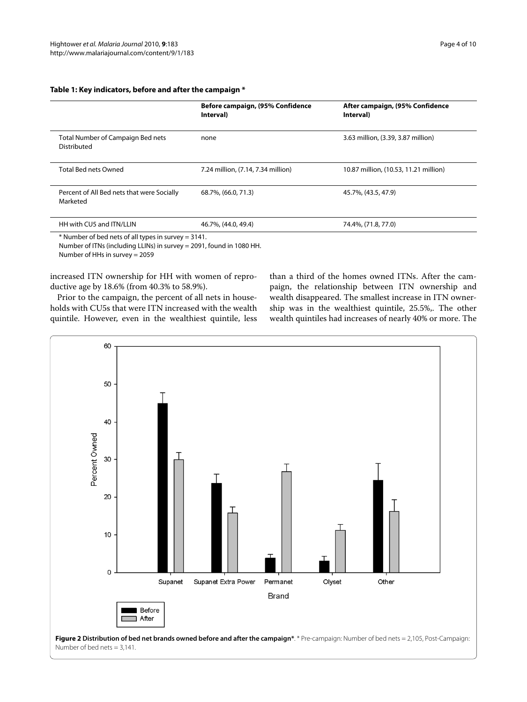# **Table 1: Key indicators, before and after the campaign \***

|                                                        | Before campaign, (95% Confidence<br>Interval) | After campaign, (95% Confidence<br>Interval) |
|--------------------------------------------------------|-----------------------------------------------|----------------------------------------------|
| Total Number of Campaign Bed nets<br>Distributed       | none                                          | 3.63 million, (3.39, 3.87 million)           |
| Total Bed nets Owned                                   | 7.24 million, (7.14, 7.34 million)            | 10.87 million, (10.53, 11.21 million)        |
| Percent of All Bed nets that were Socially<br>Marketed | 68.7%, (66.0, 71.3)                           | 45.7%, (43.5, 47.9)                          |
| HH with CU5 and ITN/LLIN                               | 46.7%, (44.0, 49.4)                           | 74.4%, (71.8, 77.0)                          |

Number of ITNs (including LLINs) in survey = 2091, found in 1080 HH.

Number of HHs in survey = 2059

increased ITN ownership for HH with women of reproductive age by 18.6% (from 40.3% to 58.9%).

Prior to the campaign, the percent of all nets in households with CU5s that were ITN increased with the wealth quintile. However, even in the wealthiest quintile, less than a third of the homes owned ITNs. After the campaign, the relationship between ITN ownership and wealth disappeared. The smallest increase in ITN ownership was in the wealthiest quintile, 25.5%,. The other wealth quintiles had increases of nearly 40% or more. The

<span id="page-3-0"></span>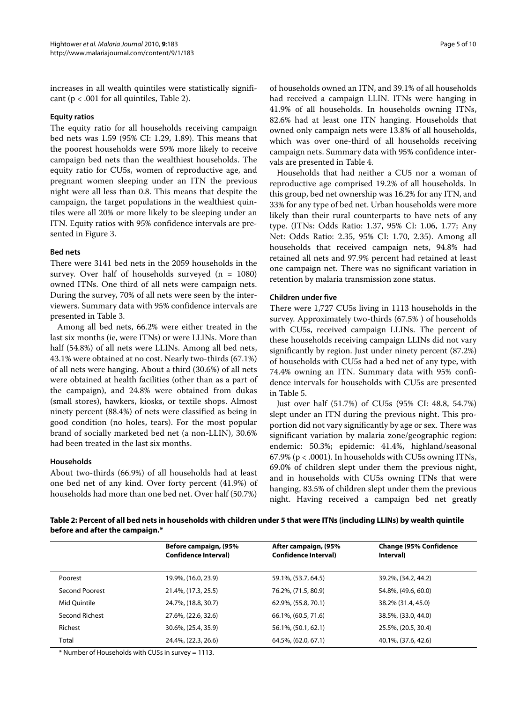increases in all wealth quintiles were statistically significant ( $p < .001$  for all quintiles, Table 2).

#### **Equity ratios**

The equity ratio for all households receiving campaign bed nets was 1.59 (95% CI: 1.29, 1.89). This means that the poorest households were 59% more likely to receive campaign bed nets than the wealthiest households. The equity ratio for CU5s, women of reproductive age, and pregnant women sleeping under an ITN the previous night were all less than 0.8. This means that despite the campaign, the target populations in the wealthiest quintiles were all 20% or more likely to be sleeping under an ITN. Equity ratios with 95% confidence intervals are presented in Figure [3](#page-5-0).

#### **Bed nets**

There were 3141 bed nets in the 2059 households in the survey. Over half of households surveyed  $(n = 1080)$ owned ITNs. One third of all nets were campaign nets. During the survey, 70% of all nets were seen by the interviewers. Summary data with 95% confidence intervals are presented in Table 3.

Among all bed nets, 66.2% were either treated in the last six months (ie, were ITNs) or were LLINs. More than half (54.8%) of all nets were LLINs. Among all bed nets, 43.1% were obtained at no cost. Nearly two-thirds (67.1%) of all nets were hanging. About a third (30.6%) of all nets were obtained at health facilities (other than as a part of the campaign), and 24.8% were obtained from dukas (small stores), hawkers, kiosks, or textile shops. Almost ninety percent (88.4%) of nets were classified as being in good condition (no holes, tears). For the most popular brand of socially marketed bed net (a non-LLIN), 30.6% had been treated in the last six months.

# **Households**

About two-thirds (66.9%) of all households had at least one bed net of any kind. Over forty percent (41.9%) of households had more than one bed net. Over half (50.7%)

of households owned an ITN, and 39.1% of all households had received a campaign LLIN. ITNs were hanging in 41.9% of all households. In households owning ITNs, 82.6% had at least one ITN hanging. Households that owned only campaign nets were 13.8% of all households, which was over one-third of all households receiving campaign nets. Summary data with 95% confidence intervals are presented in Table 4.

Households that had neither a CU5 nor a woman of reproductive age comprised 19.2% of all households. In this group, bed net ownership was 16.2% for any ITN, and 33% for any type of bed net. Urban households were more likely than their rural counterparts to have nets of any type. (ITNs: Odds Ratio: 1.37, 95% CI: 1.06, 1.77; Any Net: Odds Ratio: 2.35, 95% CI: 1.70, 2.35). Among all households that received campaign nets, 94.8% had retained all nets and 97.9% percent had retained at least one campaign net. There was no significant variation in retention by malaria transmission zone status.

#### **Children under five**

There were 1,727 CU5s living in 1113 households in the survey. Approximately two-thirds (67.5% ) of households with CU5s, received campaign LLINs. The percent of these households receiving campaign LLINs did not vary significantly by region. Just under ninety percent (87.2%) of households with CU5s had a bed net of any type, with 74.4% owning an ITN. Summary data with 95% confidence intervals for households with CU5s are presented in Table 5.

Just over half (51.7%) of CU5s (95% CI: 48.8, 54.7%) slept under an ITN during the previous night. This proportion did not vary significantly by age or sex. There was significant variation by malaria zone/geographic region: endemic: 50.3%; epidemic: 41.4%, highland/seasonal 67.9% (p < .0001). In households with CU5s owning ITNs, 69.0% of children slept under them the previous night, and in households with CU5s owning ITNs that were hanging, 83.5% of children slept under them the previous night. Having received a campaign bed net greatly

**Table 2: Percent of all bed nets in households with children under 5 that were ITNs (including LLINs) by wealth quintile before and after the campaign.\***

|                | Before campaign, (95%<br><b>Confidence Interval)</b> | After campaign, (95%<br><b>Confidence Interval)</b> | <b>Change (95% Confidence)</b><br>Interval) |
|----------------|------------------------------------------------------|-----------------------------------------------------|---------------------------------------------|
| Poorest        | 19.9%, (16.0, 23.9)                                  | 59.1%, (53.7, 64.5)                                 | 39.2%, (34.2, 44.2)                         |
| Second Poorest | 21.4%, (17.3, 25.5)                                  | 76.2%, (71.5, 80.9)                                 | 54.8%, (49.6, 60.0)                         |
| Mid Ouintile   | 24.7%, (18.8, 30.7)                                  | 62.9%, (55.8, 70.1)                                 | 38.2% (31.4, 45.0)                          |
| Second Richest | 27.6%, (22.6, 32.6)                                  | 66.1%, (60.5, 71.6)                                 | 38.5%, (33.0, 44.0)                         |
| Richest        | 30.6%, (25.4, 35.9)                                  | 56.1%, (50.1, 62.1)                                 | 25.5%, (20.5, 30.4)                         |
| Total          | 24.4%, (22.3, 26.6)                                  | 64.5%, (62.0, 67.1)                                 | 40.1%, (37.6, 42.6)                         |

\* Number of Households with CU5s in survey = 1113.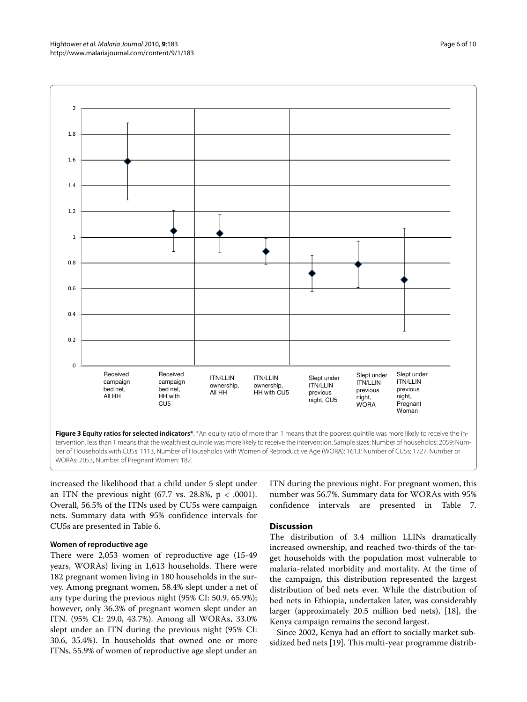<span id="page-5-0"></span>

WORAs: 2053, Number of Pregnant Women: 182.

increased the likelihood that a child under 5 slept under an ITN the previous night  $(67.7 \text{ vs. } 28.8\% , p < .0001)$ . Overall, 56.5% of the ITNs used by CU5s were campaign nets. Summary data with 95% confidence intervals for CU5s are presented in Table 6.

#### **Women of reproductive age**

There were 2,053 women of reproductive age (15-49 years, WORAs) living in 1,613 households. There were 182 pregnant women living in 180 households in the survey. Among pregnant women, 58.4% slept under a net of any type during the previous night (95% CI: 50.9, 65.9%); however, only 36.3% of pregnant women slept under an ITN. (95% CI: 29.0, 43.7%). Among all WORAs, 33.0% slept under an ITN during the previous night (95% CI: 30.6, 35.4%). In households that owned one or more ITNs, 55.9% of women of reproductive age slept under an

ITN during the previous night. For pregnant women, this number was 56.7%. Summary data for WORAs with 95% confidence intervals are presented in Table [7](#page-8-0).

# **Discussion**

The distribution of 3.4 million LLINs dramatically increased ownership, and reached two-thirds of the target households with the population most vulnerable to malaria-related morbidity and mortality. At the time of the campaign, this distribution represented the largest distribution of bed nets ever. While the distribution of bed nets in Ethiopia, undertaken later, was considerably larger (approximately 20.5 million bed nets), [[18](#page-9-12)], the Kenya campaign remains the second largest.

Since 2002, Kenya had an effort to socially market subsidized bed nets [\[19](#page-9-13)]. This multi-year programme distrib-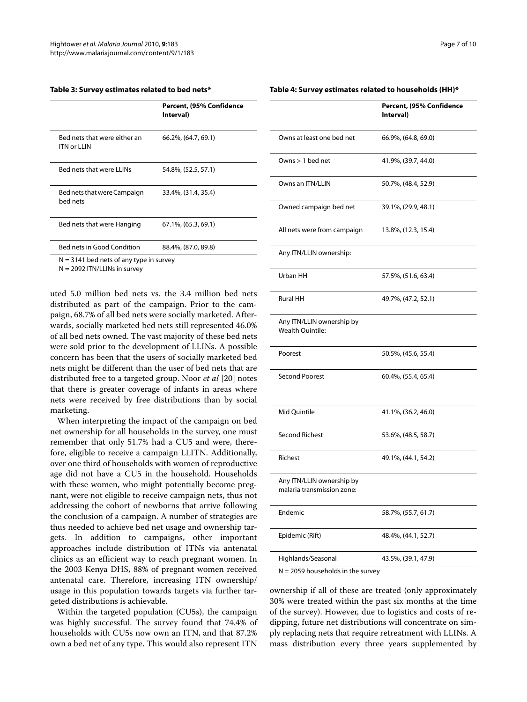|                                                    | Percent, (95% Confidence<br>Interval) |
|----------------------------------------------------|---------------------------------------|
| Bed nets that were either an<br><b>ITN or LLIN</b> | 66.2%, (64.7, 69.1)                   |
| Bed nets that were LLINs                           | 54.8%, (52.5, 57.1)                   |
| Bed nets that were Campaign<br>bed nets            | 33.4%, (31.4, 35.4)                   |
| Bed nets that were Hanging                         | $67.1\%$ , $(65.3, 69.1)$             |
| <b>Bed nets in Good Condition</b>                  | 88.4%, (87.0, 89.8)                   |
| $N = 3141$ had note of any type in survey          |                                       |

 $N = 3141$  bed nets of any type in survey

N = 2092 ITN/LLINs in survey

uted 5.0 million bed nets vs. the 3.4 million bed nets distributed as part of the campaign. Prior to the campaign, 68.7% of all bed nets were socially marketed. Afterwards, socially marketed bed nets still represented 46.0% of all bed nets owned. The vast majority of these bed nets were sold prior to the development of LLINs. A possible concern has been that the users of socially marketed bed nets might be different than the user of bed nets that are distributed free to a targeted group. Noor *et al* [[20\]](#page-9-14) notes that there is greater coverage of infants in areas where nets were received by free distributions than by social marketing.

When interpreting the impact of the campaign on bed net ownership for all households in the survey, one must remember that only 51.7% had a CU5 and were, therefore, eligible to receive a campaign LLITN. Additionally, over one third of households with women of reproductive age did not have a CU5 in the household. Households with these women, who might potentially become pregnant, were not eligible to receive campaign nets, thus not addressing the cohort of newborns that arrive following the conclusion of a campaign. A number of strategies are thus needed to achieve bed net usage and ownership targets. In addition to campaigns, other important approaches include distribution of ITNs via antenatal clinics as an efficient way to reach pregnant women. In the 2003 Kenya DHS, 88% of pregnant women received antenatal care. Therefore, increasing ITN ownership/ usage in this population towards targets via further targeted distributions is achievable.

Within the targeted population (CU5s), the campaign was highly successful. The survey found that 74.4% of households with CU5s now own an ITN, and that 87.2% own a bed net of any type. This would also represent ITN

#### **Table 4: Survey estimates related to households (HH)\***

|                                                         | Percent, (95% Confidence<br>Interval) |
|---------------------------------------------------------|---------------------------------------|
| Owns at least one bed net                               | 66.9%, (64.8, 69.0)                   |
| Owns $> 1$ bed net                                      | 41.9%, (39.7, 44.0)                   |
| Owns an ITN/LLIN                                        | 50.7%, (48.4, 52.9)                   |
| Owned campaign bed net                                  | 39.1%, (29.9, 48.1)                   |
| All nets were from campaign                             | 13.8%, (12.3, 15.4)                   |
| Any ITN/LLIN ownership:                                 |                                       |
| Urban HH                                                | 57.5%, (51.6, 63.4)                   |
| <b>Rural HH</b>                                         | 49.7%, (47.2, 52.1)                   |
| Any ITN/LLIN ownership by<br><b>Wealth Ouintile:</b>    |                                       |
| Poorest                                                 | 50.5%, (45.6, 55.4)                   |
| <b>Second Poorest</b>                                   | 60.4%, (55.4, 65.4)                   |
| Mid Quintile                                            | 41.1%, (36.2, 46.0)                   |
| <b>Second Richest</b>                                   | 53.6%, (48.5, 58.7)                   |
| Richest                                                 | 49.1%, (44.1, 54.2)                   |
| Any ITN/LLIN ownership by<br>malaria transmission zone: |                                       |
| Endemic                                                 | 58.7%, (55.7, 61.7)                   |
| Epidemic (Rift)                                         | 48.4%, (44.1, 52.7)                   |
| Highlands/Seasonal                                      | 43.5%, (39.1, 47.9)                   |

ownership if all of these are treated (only approximately 30% were treated within the past six months at the time of the survey). However, due to logistics and costs of redipping, future net distributions will concentrate on simply replacing nets that require retreatment with LLINs. A mass distribution every three years supplemented by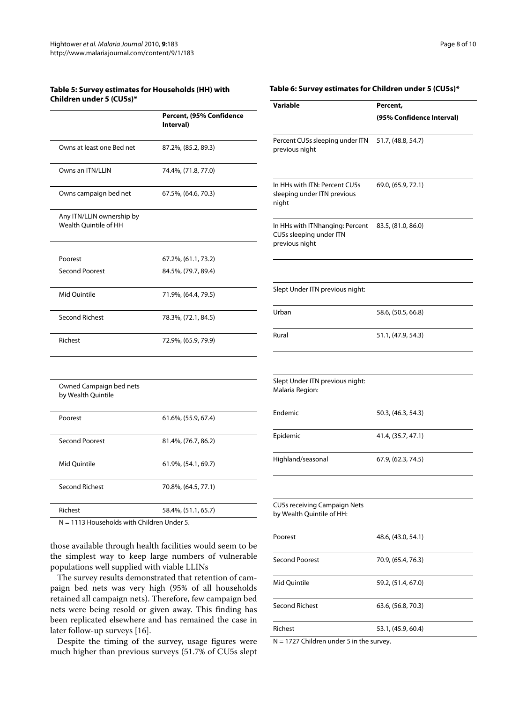#### **Table 5: Survey estimates for Households (HH) with Children under 5 (CU5s)\***

|                                                    | Percent, (95% Confidence<br>Interval) |
|----------------------------------------------------|---------------------------------------|
| Owns at least one Bed net                          | 87.2%, (85.2, 89.3)                   |
| Owns an ITN/LLIN                                   | 74.4%, (71.8, 77.0)                   |
| Owns campaign bed net                              | 67.5%, (64.6, 70.3)                   |
| Any ITN/LLIN ownership by<br>Wealth Quintile of HH |                                       |
| Poorest                                            | 67.2%, (61.1, 73.2)                   |
| <b>Second Poorest</b>                              | 84.5%, (79.7, 89.4)                   |
| Mid Quintile                                       | 71.9%, (64.4, 79.5)                   |
| Second Richest                                     | 78.3%, (72.1, 84.5)                   |
| Richest                                            | 72.9%, (65.9, 79.9)                   |
| Owned Campaign bed nets<br>by Wealth Quintile      |                                       |
| Poorest                                            | 61.6%, (55.9, 67.4)                   |
| <b>Second Poorest</b>                              | 81.4%, (76.7, 86.2)                   |
| Mid Quintile                                       | 61.9%, (54.1, 69.7)                   |
| <b>Second Richest</b>                              | 70.8%, (64.5, 77.1)                   |
| Richest                                            | 58.4%, (51.1, 65.7)                   |

N = 1113 Households with Children Under 5.

those available through health facilities would seem to be the simplest way to keep large numbers of vulnerable populations well supplied with viable LLINs

The survey results demonstrated that retention of campaign bed nets was very high (95% of all households retained all campaign nets). Therefore, few campaign bed nets were being resold or given away. This finding has been replicated elsewhere and has remained the case in later follow-up surveys [[16](#page-9-10)].

Despite the timing of the survey, usage figures were much higher than previous surveys (51.7% of CU5s slept

#### **Table 6: Survey estimates for Children under 5 (CU5s)\***

| Variable                                                                     | Percent,                  |
|------------------------------------------------------------------------------|---------------------------|
|                                                                              | (95% Confidence Interval) |
| Percent CU5s sleeping under ITN<br>previous night                            | 51.7, (48.8, 54.7)        |
| In HHs with ITN: Percent CU5s<br>sleeping under ITN previous<br>night        | 69.0, (65.9, 72.1)        |
| In HHs with ITNhanging: Percent<br>CU5s sleeping under ITN<br>previous night | 83.5, (81.0, 86.0)        |
| Slept Under ITN previous night:                                              |                           |
| Urban                                                                        | 58.6, (50.5, 66.8)        |
| Rural                                                                        | 51.1, (47.9, 54.3)        |
| Slept Under ITN previous night:<br>Malaria Region:                           |                           |
| Endemic                                                                      | 50.3, (46.3, 54.3)        |
| Epidemic                                                                     | 41.4, (35.7, 47.1)        |
| Highland/seasonal                                                            | 67.9, (62.3, 74.5)        |
| <b>CU5s receiving Campaign Nets</b><br>by Wealth Quintile of HH:             |                           |
| Poorest                                                                      | 48.6, (43.0, 54.1)        |
| <b>Second Poorest</b>                                                        | 70.9, (65.4, 76.3)        |
| Mid Quintile                                                                 | 59.2, (51.4, 67.0)        |
| <b>Second Richest</b>                                                        | 63.6, (56.8, 70.3)        |
| Richest                                                                      | 53.1, (45.9, 60.4)        |
| $N = 1727$ Children under 5 in the survey.                                   |                           |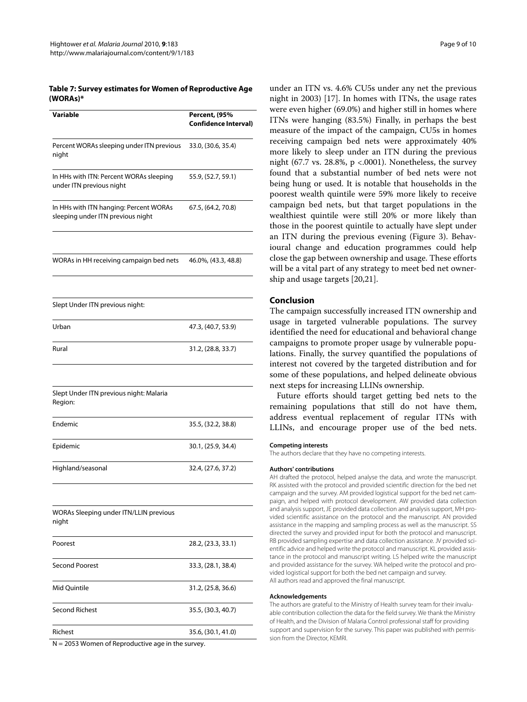<span id="page-8-0"></span>**Table 7: Survey estimates for Women of Reproductive Age (WORAs)\***

| Variable                                                                    | Percent, (95%<br><b>Confidence Interval)</b> |
|-----------------------------------------------------------------------------|----------------------------------------------|
| Percent WORAs sleeping under ITN previous<br>night                          | 33.0, (30.6, 35.4)                           |
| In HHs with ITN: Percent WORAs sleeping<br>under ITN previous night         | 55.9, (52.7, 59.1)                           |
| In HHs with ITN hanging: Percent WORAs<br>sleeping under ITN previous night | 67.5, (64.2, 70.8)                           |
| WORAs in HH receiving campaign bed nets                                     | 46.0%, (43.3, 48.8)                          |
| Slept Under ITN previous night:                                             |                                              |
| Urban                                                                       | 47.3, (40.7, 53.9)                           |
| Rural                                                                       | 31.2, (28.8, 33.7)                           |
| Slept Under ITN previous night: Malaria<br>Region:                          |                                              |
| Endemic                                                                     | 35.5, (32.2, 38.8)                           |
| Epidemic                                                                    | 30.1, (25.9, 34.4)                           |
| Highland/seasonal                                                           | 32.4, (27.6, 37.2)                           |
| WORAs Sleeping under ITN/LLIN previous<br>night                             |                                              |
| Poorest                                                                     | 28.2, (23.3, 33.1)                           |
| Second Poorest                                                              | 33.3, (28.1, 38.4)                           |
| Mid Quintile                                                                | 31.2, (25.8, 36.6)                           |
| <b>Second Richest</b>                                                       | 35.5, (30.3, 40.7)                           |
| Richest                                                                     | 35.6, (30.1, 41.0)                           |

 $N = 2053$  Women of Reproductive age in the survey.

under an ITN vs. 4.6% CU5s under any net the previous night in 2003) [\[17](#page-9-11)]. In homes with ITNs, the usage rates were even higher (69.0%) and higher still in homes where ITNs were hanging (83.5%) Finally, in perhaps the best measure of the impact of the campaign, CU5s in homes receiving campaign bed nets were approximately 40% more likely to sleep under an ITN during the previous night (67.7 vs. 28.8%, p <.0001). Nonetheless, the survey found that a substantial number of bed nets were not being hung or used. It is notable that households in the poorest wealth quintile were 59% more likely to receive campaign bed nets, but that target populations in the wealthiest quintile were still 20% or more likely than those in the poorest quintile to actually have slept under an ITN during the previous evening (Figure [3\)](#page-5-0). Behavioural change and education programmes could help close the gap between ownership and usage. These efforts will be a vital part of any strategy to meet bed net ownership and usage targets [[20,](#page-9-14)[21\]](#page-9-15).

#### **Conclusion**

The campaign successfully increased ITN ownership and usage in targeted vulnerable populations. The survey identified the need for educational and behavioral change campaigns to promote proper usage by vulnerable populations. Finally, the survey quantified the populations of interest not covered by the targeted distribution and for some of these populations, and helped delineate obvious next steps for increasing LLINs ownership.

Future efforts should target getting bed nets to the remaining populations that still do not have them, address eventual replacement of regular ITNs with LLINs, and encourage proper use of the bed nets.

#### **Competing interests**

The authors declare that they have no competing interests.

#### **Authors' contributions**

AH drafted the protocol, helped analyse the data, and wrote the manuscript. RK assisted with the protocol and provided scientific direction for the bed net campaign and the survey. AM provided logistical support for the bed net campaign, and helped with protocol development. AW provided data collection and analysis support, JE provided data collection and analysis support, MH provided scientific assistance on the protocol and the manuscript. AN provided assistance in the mapping and sampling process as well as the manuscript. SS directed the survey and provided input for both the protocol and manuscript. RB provided sampling expertise and data collection assistance. JV provided scientific advice and helped write the protocol and manuscript. KL provided assistance in the protocol and manuscript writing. LS helped write the manuscript and provided assistance for the survey. WA helped write the protocol and provided logistical support for both the bed net campaign and survey. All authors read and approved the final manuscript.

#### **Acknowledgements**

The authors are grateful to the Ministry of Health survey team for their invaluable contribution collection the data for the field survey. We thank the Ministry of Health, and the Division of Malaria Control professional staff for providing support and supervision for the survey. This paper was published with permission from the Director, KEMRI.